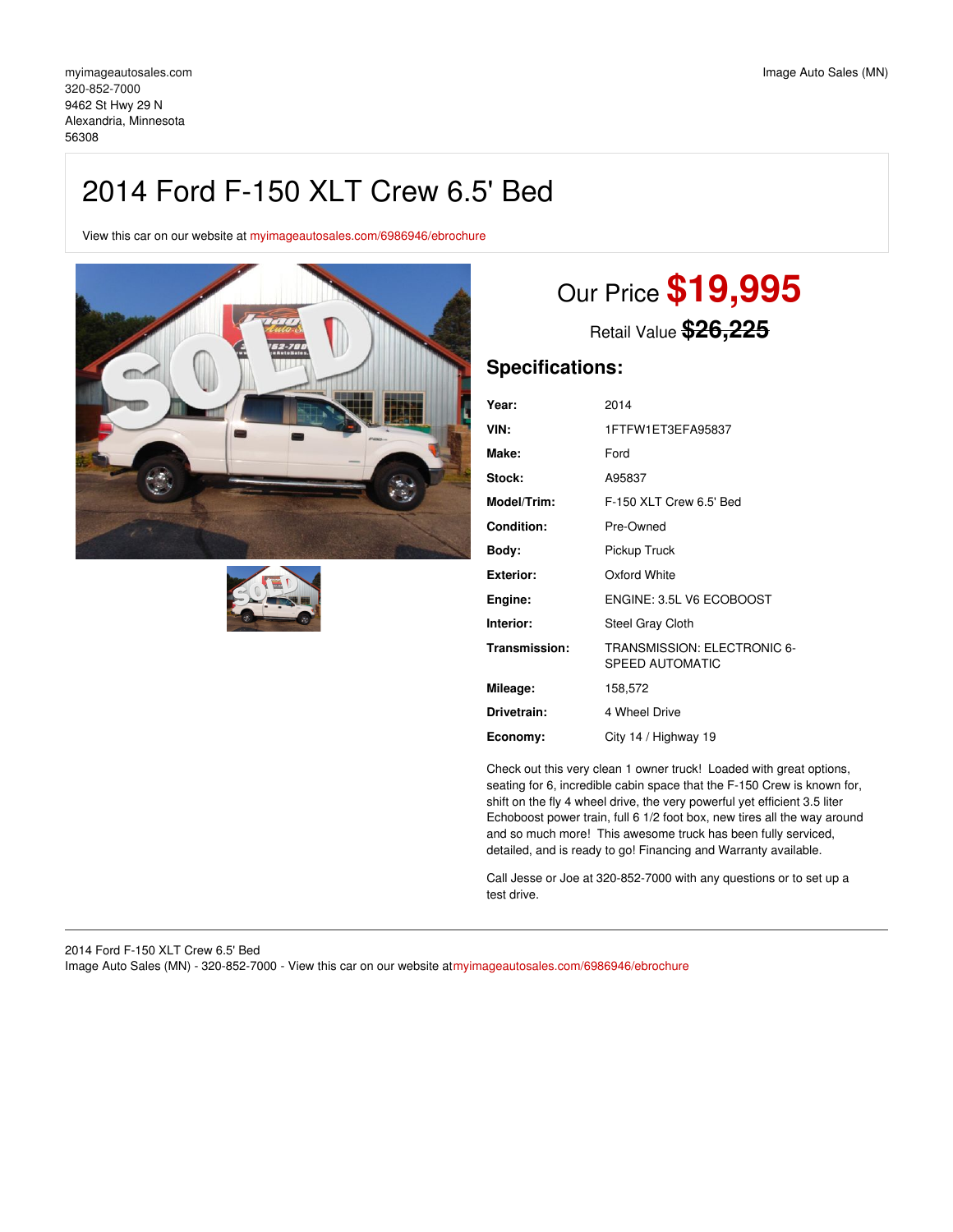# 2014 Ford F-150 XLT Crew 6.5' Bed

View this car on our website at [myimageautosales.com/6986946/ebrochure](https://myimageautosales.com/vehicle/6986946/2014-ford-f-150-xlt-crew-6-5-bed-alexandria-minnesota-56308/6986946/ebrochure)





# Our Price **\$19,995**

Retail Value **\$26,225**

# **Specifications:**

| Year:              | 2014                                           |
|--------------------|------------------------------------------------|
| VIN:               | 1FTFW1ET3EFA95837                              |
| Make:              | Ford                                           |
| Stock:             | A95837                                         |
| <b>Model/Trim:</b> | F-150 XLT Crew 6.5' Bed                        |
| Condition:         | Pre-Owned                                      |
| Bodv:              | Pickup Truck                                   |
| <b>Exterior:</b>   | Oxford White                                   |
| Engine:            | ENGINE: 3.5L V6 ECOBOOST                       |
| Interior:          | Steel Gray Cloth                               |
| Transmission:      | TRANSMISSION: ELECTRONIC 6-<br>SPEED AUTOMATIC |
| Mileage:           | 158,572                                        |
| Drivetrain:        | 4 Wheel Drive                                  |
| Economy:           | City 14 / Highway 19                           |

Check out this very clean 1 owner truck! Loaded with great options, seating for 6, incredible cabin space that the F-150 Crew is known for, shift on the fly 4 wheel drive, the very powerful yet efficient 3.5 liter Echoboost power train, full 6 1/2 foot box, new tires all the way around and so much more! This awesome truck has been fully serviced, detailed, and is ready to go! Financing and Warranty available.

Call Jesse or Joe at 320-852-7000 with any questions or to set up a test drive.

### 2014 Ford F-150 XLT Crew 6.5' Bed Image Auto Sales (MN) - 320-852-7000 - View this car on our website at[myimageautosales.com/6986946/ebrochure](https://myimageautosales.com/vehicle/6986946/2014-ford-f-150-xlt-crew-6-5-bed-alexandria-minnesota-56308/6986946/ebrochure)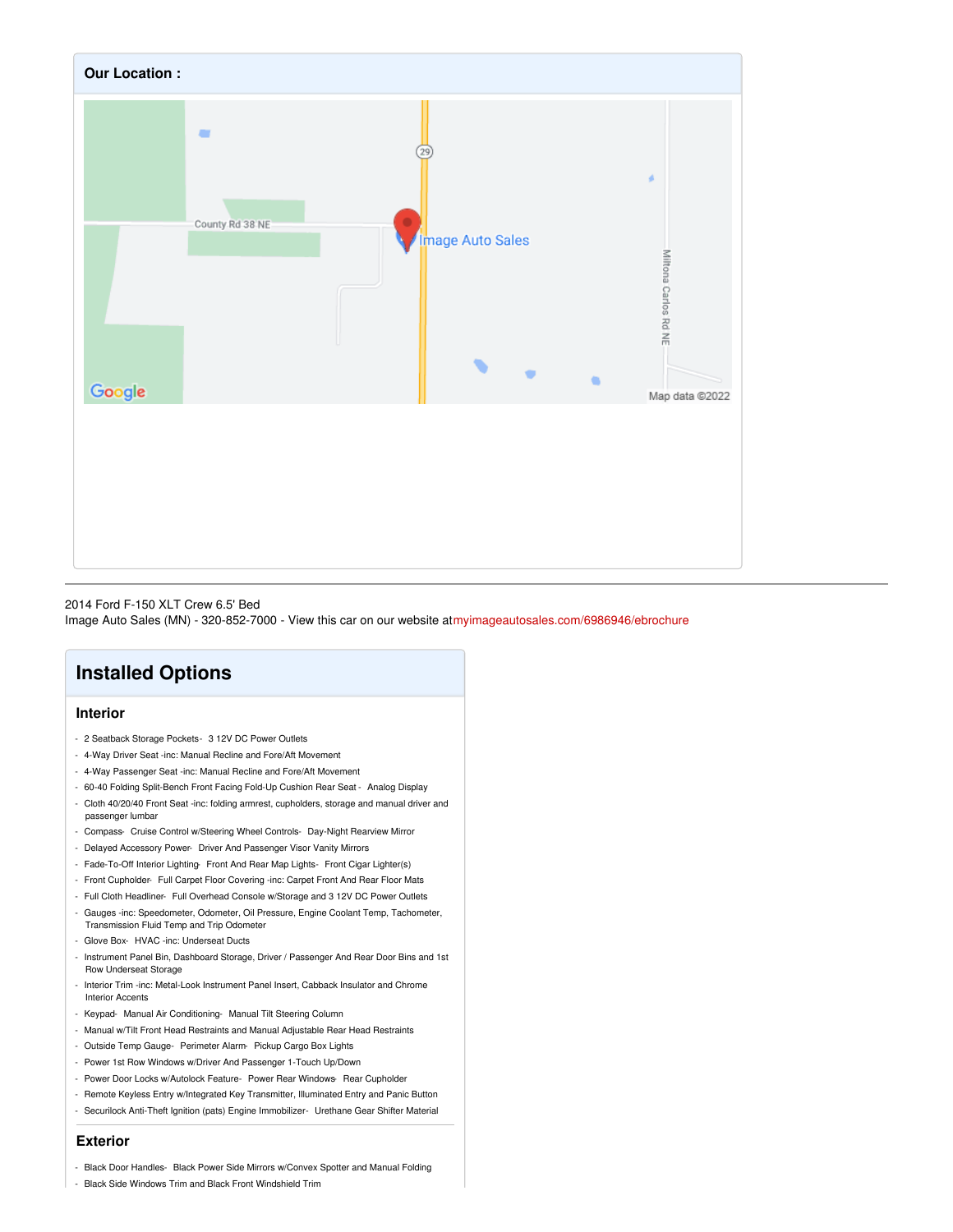

### 2014 Ford F-150 XLT Crew 6.5' Bed

Image Auto Sales (MN) - 320-852-7000 - View this car on our website at[myimageautosales.com/6986946/ebrochure](https://myimageautosales.com/vehicle/6986946/2014-ford-f-150-xlt-crew-6-5-bed-alexandria-minnesota-56308/6986946/ebrochure)

# **Installed Options**

## **Interior**

- 2 Seatback Storage Pockets- 3 12V DC Power Outlets
- 4-Way Driver Seat -inc: Manual Recline and Fore/Aft Movement
- 4-Way Passenger Seat -inc: Manual Recline and Fore/Aft Movement
- 60-40 Folding Split-Bench Front Facing Fold-Up Cushion Rear Seat Analog Display
- Cloth 40/20/40 Front Seat -inc: folding armrest, cupholders, storage and manual driver and passenger lumbar
- Compass- Cruise Control w/Steering Wheel Controls- Day-Night Rearview Mirror
- Delayed Accessory Power- Driver And Passenger Visor Vanity Mirrors
- Fade-To-Off Interior Lighting- Front And Rear Map Lights- Front Cigar Lighter(s)
- Front Cupholder- Full Carpet Floor Covering -inc: Carpet Front And Rear Floor Mats
- Full Cloth Headliner- Full Overhead Console w/Storage and 3 12V DC Power Outlets
- Gauges -inc: Speedometer, Odometer, Oil Pressure, Engine Coolant Temp, Tachometer, Transmission Fluid Temp and Trip Odometer
- Glove Box- HVAC -inc: Underseat Ducts
- Instrument Panel Bin, Dashboard Storage, Driver / Passenger And Rear Door Bins and 1st Row Underseat Storage
- Interior Trim -inc: Metal-Look Instrument Panel Insert, Cabback Insulator and Chrome Interior Accents
- Keypad- Manual Air Conditioning- Manual Tilt Steering Column
- Manual w/Tilt Front Head Restraints and Manual Adjustable Rear Head Restraints
- Outside Temp Gauge- Perimeter Alarm- Pickup Cargo Box Lights
- Power 1st Row Windows w/Driver And Passenger 1-Touch Up/Down
- Power Door Locks w/Autolock Feature- Power Rear Windows- Rear Cupholder
- Remote Keyless Entry w/Integrated Key Transmitter, Illuminated Entry and Panic Button
- Securilock Anti-Theft Ignition (pats) Engine Immobilizer- Urethane Gear Shifter Material

### **Exterior**

- Black Door Handles- Black Power Side Mirrors w/Convex Spotter and Manual Folding
- Black Side Windows Trim and Black Front Windshield Trim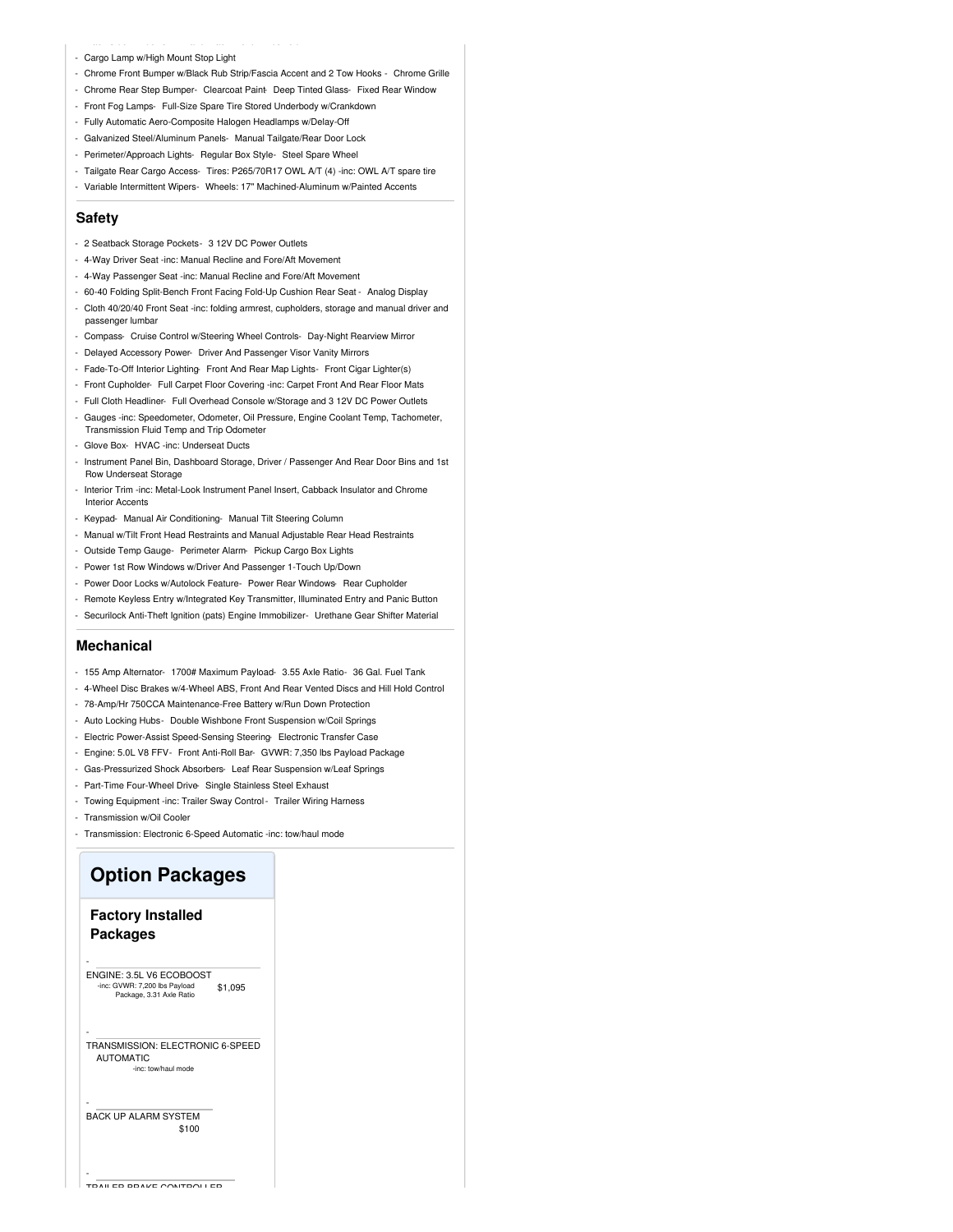- Cargo Lamp w/High Mount Stop Light
- Chrome Front Bumper w/Black Rub Strip/Fascia Accent and 2 Tow Hooks Chrome Grille
- Chrome Rear Step Bumper- Clearcoat Paint- Deep Tinted Glass- Fixed Rear Window
- Front Fog Lamps- Full-Size Spare Tire Stored Underbody w/Crankdown
- Fully Automatic Aero-Composite Halogen Headlamps w/Delay-Off
- Galvanized Steel/Aluminum Panels- Manual Tailgate/Rear Door Lock
- Perimeter/Approach Lights- Regular Box Style- Steel Spare Wheel
- Tailgate Rear Cargo Access- Tires: P265/70R17 OWL A/T (4) -inc: OWL A/T spare tire
- Variable Intermittent Wipers- Wheels: 17" Machined-Aluminum w/Painted Accents

#### **Safety**

- 2 Seatback Storage Pockets- 3 12V DC Power Outlets
- 4-Way Driver Seat -inc: Manual Recline and Fore/Aft Movement
- 4-Way Passenger Seat -inc: Manual Recline and Fore/Aft Movement
- 60-40 Folding Split-Bench Front Facing Fold-Up Cushion Rear Seat Analog Display
- Cloth 40/20/40 Front Seat -inc: folding armrest, cupholders, storage and manual driver and passenger lumbar
- Compass- Cruise Control w/Steering Wheel Controls- Day-Night Rearview Mirror
- Delayed Accessory Power- Driver And Passenger Visor Vanity Mirrors
- Fade-To-Off Interior Lighting- Front And Rear Map Lights- Front Cigar Lighter(s)
- Front Cupholder- Full Carpet Floor Covering -inc: Carpet Front And Rear Floor Mats
- Full Cloth Headliner- Full Overhead Console w/Storage and 3 12V DC Power Outlets
- Gauges -inc: Speedometer, Odometer, Oil Pressure, Engine Coolant Temp, Tachometer, Transmission Fluid Temp and Trip Odometer
- Glove Box- HVAC -inc: Underseat Ducts
- Instrument Panel Bin, Dashboard Storage, Driver / Passenger And Rear Door Bins and 1st Row Underseat Storage
- Interior Trim -inc: Metal-Look Instrument Panel Insert, Cabback Insulator and Chrome Interior Accents
- Keypad- Manual Air Conditioning- Manual Tilt Steering Column
- Manual w/Tilt Front Head Restraints and Manual Adjustable Rear Head Restraints
- Outside Temp Gauge- Perimeter Alarm- Pickup Cargo Box Lights
- Power 1st Row Windows w/Driver And Passenger 1-Touch Up/Down
- Power Door Locks w/Autolock Feature- Power Rear Windows- Rear Cupholder
- Remote Keyless Entry w/Integrated Key Transmitter, Illuminated Entry and Panic Button
- Securilock Anti-Theft Ignition (pats) Engine Immobilizer- Urethane Gear Shifter Material

#### **Mechanical**

- 155 Amp Alternator- 1700# Maximum Payload- 3.55 Axle Ratio- 36 Gal. Fuel Tank
- 4-Wheel Disc Brakes w/4-Wheel ABS, Front And Rear Vented Discs and Hill Hold Control
- 78-Amp/Hr 750CCA Maintenance-Free Battery w/Run Down Protection
- Auto Locking Hubs- Double Wishbone Front Suspension w/Coil Springs
- Electric Power-Assist Speed-Sensing Steering- Electronic Transfer Case
- Engine: 5.0L V8 FFV- Front Anti-Roll Bar- GVWR: 7,350 lbs Payload Package
- Gas-Pressurized Shock Absorbers- Leaf Rear Suspension w/Leaf Springs
- Part-Time Four-Wheel Drive- Single Stainless Steel Exhaust
- Towing Equipment -inc: Trailer Sway Control- Trailer Wiring Harness
- Transmission w/Oil Cooler
- Transmission: Electronic 6-Speed Automatic -inc: tow/haul mode

# **Option Packages**

## **Factory Installed Packages**

-

-

-

-

\$1,095 ENGINE: 3.5L V6 ECOBOOST -inc: GVWR: 7,200 lbs Payload Package, 3.31 Axle Ratio

TRANSMISSION: ELECTRONIC 6-SPEED AUTOMATIC -inc: tow/haul mode

\$100 BACK UP ALARM SYSTEM